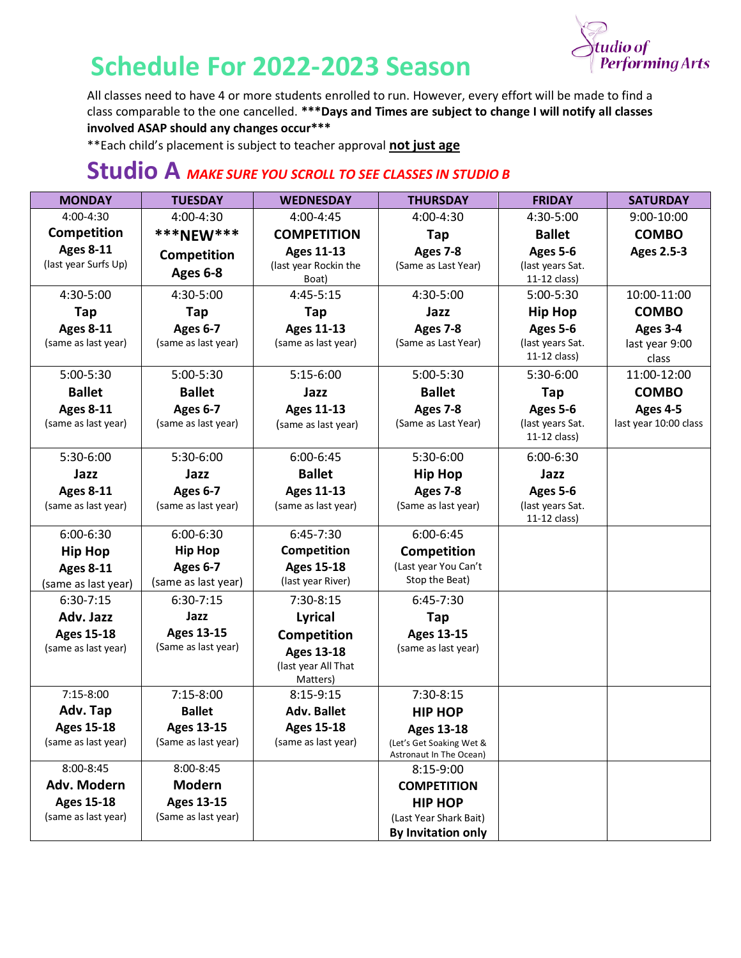

## **Schedule For 2022-2023 Season**

All classes need to have 4 or more students enrolled to run. However, every effort will be made to find a class comparable to the one cancelled. **\*\*\*Days and Times are subject to change I will notify all classes involved ASAP should any changes occur\*\*\***

\*\*Each child's placement is subject to teacher approval **not just age**

## **Studio A** *MAKE SURE YOU SCROLL TO SEE CLASSES IN STUDIO B*

| <b>MONDAY</b>                           | <b>TUESDAY</b>      | <b>WEDNESDAY</b>                         | <b>THURSDAY</b>                        | <b>FRIDAY</b>                    | <b>SATURDAY</b>         |
|-----------------------------------------|---------------------|------------------------------------------|----------------------------------------|----------------------------------|-------------------------|
| 4:00-4:30                               | 4:00-4:30           | 4:00-4:45                                | 4:00-4:30                              | 4:30-5:00                        | 9:00-10:00              |
| Competition                             | <b>***NEW***</b>    | <b>COMPETITION</b>                       | <b>Tap</b>                             | <b>Ballet</b>                    | <b>COMBO</b>            |
| <b>Ages 8-11</b>                        | Competition         | <b>Ages 11-13</b>                        | Ages 7-8                               | Ages 5-6                         | <b>Ages 2.5-3</b>       |
| (last year Surfs Up)                    | Ages 6-8            | (last year Rockin the                    | (Same as Last Year)                    | (last years Sat.                 |                         |
|                                         |                     | Boat)                                    |                                        | 11-12 class)                     |                         |
| 4:30-5:00                               | 4:30-5:00           | 4:45-5:15                                | 4:30-5:00                              | 5:00-5:30                        | 10:00-11:00             |
| Tap                                     | Tap                 | Tap                                      | Jazz                                   | <b>Hip Hop</b>                   | <b>COMBO</b>            |
| <b>Ages 8-11</b><br>(same as last year) | <b>Ages 6-7</b>     | <b>Ages 11-13</b><br>(same as last year) | Ages 7-8                               | Ages 5-6                         | Ages 3-4                |
|                                         | (same as last year) |                                          | (Same as Last Year)                    | (last years Sat.<br>11-12 class) | last year 9:00<br>class |
| 5:00-5:30                               | 5:00-5:30           | $5:15-6:00$                              | 5:00-5:30                              | 5:30-6:00                        | 11:00-12:00             |
| <b>Ballet</b>                           | <b>Ballet</b>       | Jazz                                     | <b>Ballet</b>                          | Tap                              | <b>COMBO</b>            |
| <b>Ages 8-11</b>                        | <b>Ages 6-7</b>     | <b>Ages 11-13</b>                        | Ages 7-8                               | Ages 5-6                         | Ages 4-5                |
| (same as last year)                     | (same as last year) | (same as last year)                      | (Same as Last Year)                    | (last years Sat.                 | last year 10:00 class   |
|                                         |                     |                                          |                                        | 11-12 class)                     |                         |
| 5:30-6:00                               | 5:30-6:00           | $6:00 - 6:45$                            | 5:30-6:00                              | $6:00 - 6:30$                    |                         |
| Jazz                                    | Jazz                | <b>Ballet</b>                            | <b>Hip Hop</b>                         | Jazz                             |                         |
| <b>Ages 8-11</b>                        | <b>Ages 6-7</b>     | <b>Ages 11-13</b>                        | Ages 7-8                               | Ages 5-6                         |                         |
| (same as last year)                     | (same as last year) | (same as last year)                      | (Same as last year)                    | (last years Sat.                 |                         |
|                                         |                     |                                          |                                        | 11-12 class)                     |                         |
| 6:00-6:30                               | 6:00-6:30           | $6:45-7:30$                              | 6:00-6:45                              |                                  |                         |
| <b>Hip Hop</b>                          | <b>Hip Hop</b>      | Competition                              | Competition                            |                                  |                         |
| <b>Ages 8-11</b>                        | <b>Ages 6-7</b>     | <b>Ages 15-18</b>                        | (Last year You Can't<br>Stop the Beat) |                                  |                         |
| (same as last year)                     | (same as last year) | (last year River)                        |                                        |                                  |                         |
| $6:30-7:15$                             | $6:30-7:15$         | 7:30-8:15                                | $6:45-7:30$                            |                                  |                         |
| Adv. Jazz                               | Jazz                | <b>Lyrical</b>                           | <b>Tap</b>                             |                                  |                         |
| <b>Ages 15-18</b>                       | <b>Ages 13-15</b>   | Competition                              | <b>Ages 13-15</b>                      |                                  |                         |
| (same as last year)                     | (Same as last year) | <b>Ages 13-18</b>                        | (same as last year)                    |                                  |                         |
|                                         |                     | (last year All That<br>Matters)          |                                        |                                  |                         |
| $7:15-8:00$                             | 7:15-8:00           | $8:15-9:15$                              | 7:30-8:15                              |                                  |                         |
| Adv. Tap                                | <b>Ballet</b>       | <b>Adv. Ballet</b>                       | <b>HIP HOP</b>                         |                                  |                         |
| <b>Ages 15-18</b>                       | <b>Ages 13-15</b>   | <b>Ages 15-18</b>                        | <b>Ages 13-18</b>                      |                                  |                         |
| (same as last year)                     | (Same as last year) | (same as last year)                      | (Let's Get Soaking Wet &               |                                  |                         |
|                                         |                     |                                          | Astronaut In The Ocean)                |                                  |                         |
| 8:00-8:45                               | 8:00-8:45           |                                          | 8:15-9:00                              |                                  |                         |
| Adv. Modern                             | <b>Modern</b>       |                                          | <b>COMPETITION</b>                     |                                  |                         |
| <b>Ages 15-18</b>                       | <b>Ages 13-15</b>   |                                          | <b>HIP HOP</b>                         |                                  |                         |
| (same as last year)                     | (Same as last year) |                                          | (Last Year Shark Bait)                 |                                  |                         |
|                                         |                     |                                          | <b>By Invitation only</b>              |                                  |                         |